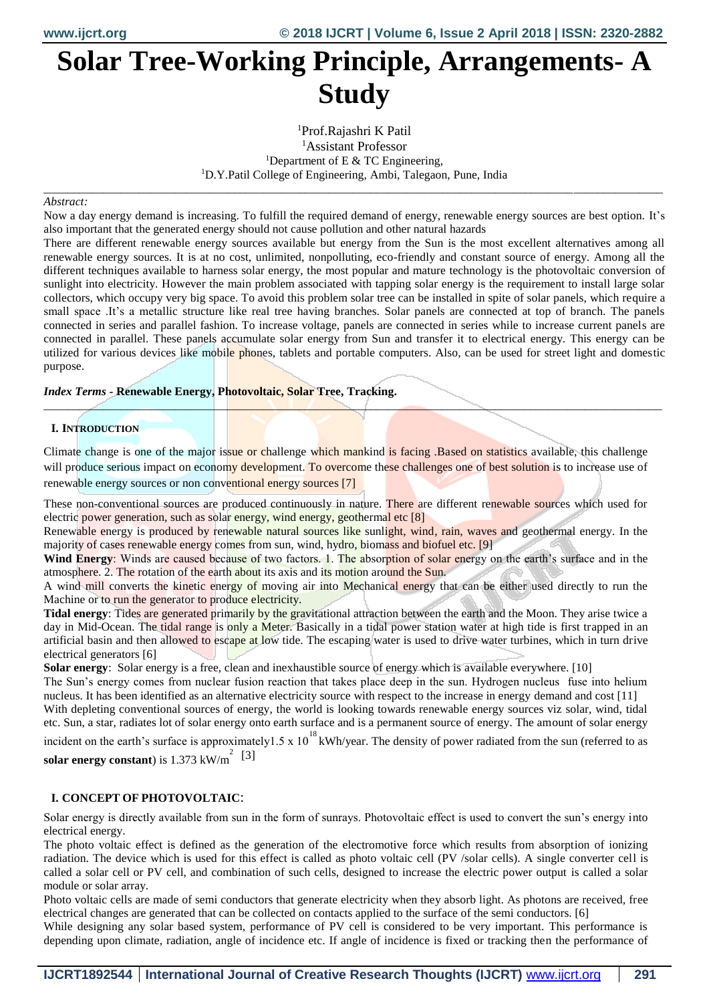# **Solar Tree-Working Principle, Arrangements- A Study**

Prof.Rajashri K Patil Assistant Professor <sup>1</sup>Department of E  $&$  TC Engineering, D.Y.Patil College of Engineering, Ambi, Talegaon, Pune, India

\_\_\_\_\_\_\_\_\_\_\_\_\_\_\_\_\_\_\_\_\_\_\_\_\_\_\_\_\_\_\_\_\_\_\_\_\_\_\_\_\_\_\_\_\_\_\_\_\_\_\_\_\_\_\_\_\_\_\_\_\_\_\_\_\_\_\_\_\_\_\_\_\_\_\_\_\_\_\_\_\_\_\_\_\_\_\_\_\_\_\_\_\_\_\_\_\_\_\_\_\_\_\_\_

#### *Abstract:*

Now a day energy demand is increasing. To fulfill the required demand of energy, renewable energy sources are best option. It's also important that the generated energy should not cause pollution and other natural hazards

There are different renewable energy sources available but energy from the Sun is the most excellent alternatives among all renewable energy sources. It is at no cost, unlimited, nonpolluting, eco-friendly and constant source of energy. Among all the different techniques available to harness solar energy, the most popular and mature technology is the photovoltaic conversion of sunlight into electricity. However the main problem associated with tapping solar energy is the requirement to install large solar collectors, which occupy very big space. To avoid this problem solar tree can be installed in spite of solar panels, which require a small space .It's a metallic structure like real tree having branches. Solar panels are connected at top of branch. The panels connected in series and parallel fashion. To increase voltage, panels are connected in series while to increase current panels are connected in parallel. These panels accumulate solar energy from Sun and transfer it to electrical energy. This energy can be utilized for various devices like mobile phones, tablets and portable computers. Also, can be used for street light and domestic purpose.

### *Index Terms* **- Renewable Energy, Photovoltaic, Solar Tree, Tracking.**

### **I. INTRODUCTION**

Climate change is one of the major issue or challenge which mankind is facing. Based on statistics available, this challenge will produce serious impact on economy development. To overcome these challenges one of best solution is to increase use of renewable energy sources or non conventional energy sources [7]

*\_\_\_\_\_\_\_\_\_\_\_\_\_\_\_\_\_\_\_\_\_\_\_\_\_\_\_\_\_\_\_\_\_\_\_\_\_\_\_\_\_\_\_\_\_\_\_\_\_\_\_\_\_\_\_\_\_\_\_\_\_\_\_\_\_\_\_\_\_\_\_\_\_\_\_\_\_\_\_\_\_\_\_\_\_\_\_\_\_\_\_\_\_\_\_\_\_\_\_\_\_\_\_\_*

These non-conventional sources are produced continuously in nature. There are different renewable sources which used for electric power generation, such as solar energy, wind energy, geothermal etc [8]

Renewable energy is produced by renewable natural sources like sunlight, wind, rain, waves and geothermal energy. In the majority of cases renewable energy comes from sun, wind, hydro, biomass and biofuel etc. [9]

**Wind Energy**: Winds are caused because of two factors. 1. The absorption of solar energy on the earth's surface and in the atmosphere. 2. The rotation of the earth about its axis and its motion around the Sun.

A wind mill converts the kinetic energy of moving air into Mechanical energy that can be either used directly to run the Machine or to run the generator to produce electricity.

**Tidal energy**: Tides are generated primarily by the gravitational attraction between the earth and the Moon. They arise twice a day in Mid-Ocean. The tidal range is only a Meter. Basically in a tidal power station water at high tide is first trapped in an artificial basin and then allowed to escape at low tide. The escaping water is used to drive water turbines, which in turn drive electrical generators [6]

**Solar energy**: Solar energy is a free, clean and inexhaustible source of energy which is available everywhere. [10]

The Sun's energy comes from nuclear fusion reaction that takes place deep in the sun. Hydrogen nucleus fuse into helium nucleus. It has been identified as an alternative electricity source with respect to the increase in energy demand and cost [11]

With depleting conventional sources of energy, the world is looking towards renewable energy sources viz solar, wind, tidal etc. Sun, a star, radiates lot of solar energy onto earth surface and is a permanent source of energy. The amount of solar energy incident on the earth's surface is approximately 1.5 x 10<sup>18</sup> kWh/year. The density of power radiated from the sun (referred to as

**solar energy constant**) is  $1.373 \text{ kW/m}^2$  [3]

### **I. CONCEPT OF PHOTOVOLTAIC**:

Solar energy is directly available from sun in the form of sunrays. Photovoltaic effect is used to convert the sun's energy into electrical energy.

The photo voltaic effect is defined as the generation of the electromotive force which results from absorption of ionizing radiation. The device which is used for this effect is called as photo voltaic cell (PV /solar cells). A single converter cell is called a solar cell or PV cell, and combination of such cells, designed to increase the electric power output is called a solar module or solar array.

Photo voltaic cells are made of semi conductors that generate electricity when they absorb light. As photons are received, free electrical changes are generated that can be collected on contacts applied to the surface of the semi conductors. [6]

While designing any solar based system, performance of PV cell is considered to be very important. This performance is depending upon climate, radiation, angle of incidence etc. If angle of incidence is fixed or tracking then the performance of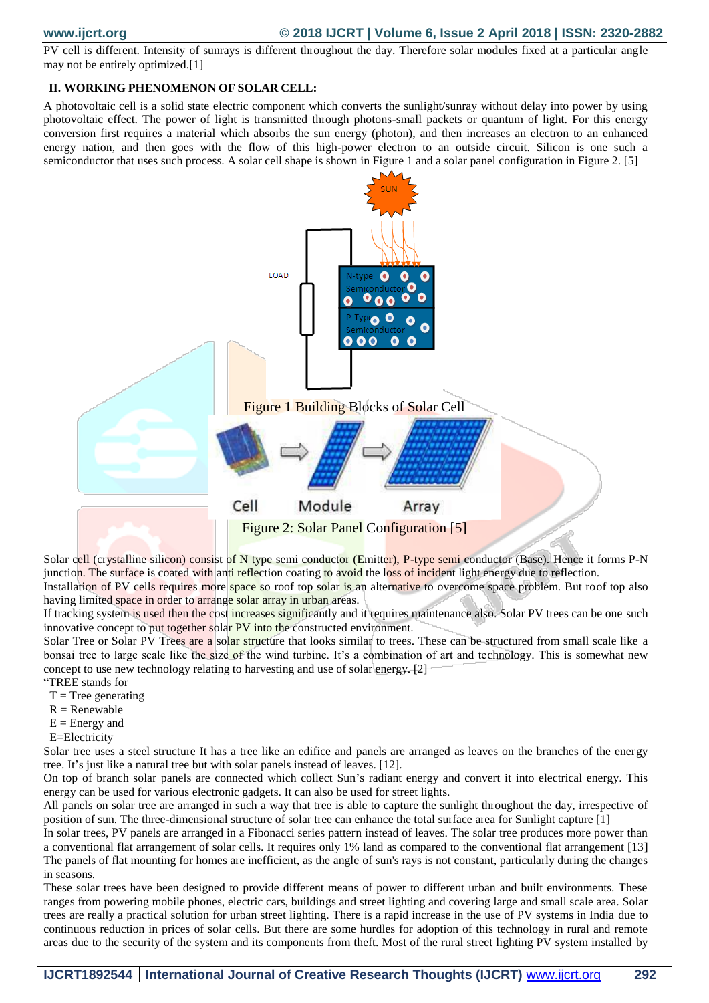PV cell is different. Intensity of sunrays is different throughout the day. Therefore solar modules fixed at a particular angle may not be entirely optimized.[1]

### **II. WORKING PHENOMENON OF SOLAR CELL:**

A photovoltaic cell is a solid state electric component which converts the sunlight/sunray without delay into power by using photovoltaic effect. The power of light is transmitted through photons-small packets or quantum of light. For this energy conversion first requires a material which absorbs the sun energy (photon), and then increases an electron to an enhanced energy nation, and then goes with the flow of this high-power electron to an outside circuit. Silicon is one such a semiconductor that uses such process. A solar cell shape is shown in Figure 1 and a solar panel configuration in Figure 2. [5]



Solar cell (crystalline silicon) consist of N type semi conductor (Emitter), P-type semi conductor (Base). Hence it forms P-N junction. The surface is coated with anti reflection coating to avoid the loss of incident light energy due to reflection. Installation of PV cells requires more space so roof top solar is an alternative to overcome space problem. But roof top also

having limited space in order to arrange solar array in urban areas.

If tracking system is used then the cost increases significantly and it requires maintenance also. Solar PV trees can be one such innovative concept to put together solar PV into the constructed environment.

Solar Tree or Solar PV Trees are a solar structure that looks similar to trees. These can be structured from small scale like a bonsai tree to large scale like the size of the wind turbine. It's a combination of art and technology. This is somewhat new concept to use new technology relating to harvesting and use of solar energy. [2]

- "TREE stands for
- $T = Tree generating$
- $R =$  Renewable
- $E =$  Energy and
- E=Electricity

Solar tree uses a steel structure It has a tree like an edifice and panels are arranged as leaves on the branches of the energy tree. It's just like a natural tree but with solar panels instead of leaves. [12].

On top of branch solar panels are connected which collect Sun's radiant energy and convert it into electrical energy. This energy can be used for various electronic gadgets. It can also be used for street lights.

All panels on solar tree are arranged in such a way that tree is able to capture the sunlight throughout the day, irrespective of position of sun. The three-dimensional structure of solar tree can enhance the total surface area for Sunlight capture [1]

In solar trees, PV panels are arranged in a Fibonacci series pattern instead of leaves. The solar tree produces more power than a conventional flat arrangement of solar cells. It requires only 1% land as compared to the conventional flat arrangement [13] The panels of flat mounting for homes are inefficient, as the angle of sun's rays is not constant, particularly during the changes in seasons.

These solar trees have been designed to provide different means of power to different urban and built environments. These ranges from powering mobile phones, electric cars, buildings and street lighting and covering large and small scale area. Solar trees are really a practical solution for urban street lighting. There is a rapid increase in the use of PV systems in India due to continuous reduction in prices of solar cells. But there are some hurdles for adoption of this technology in rural and remote areas due to the security of the system and its components from theft. Most of the rural street lighting PV system installed by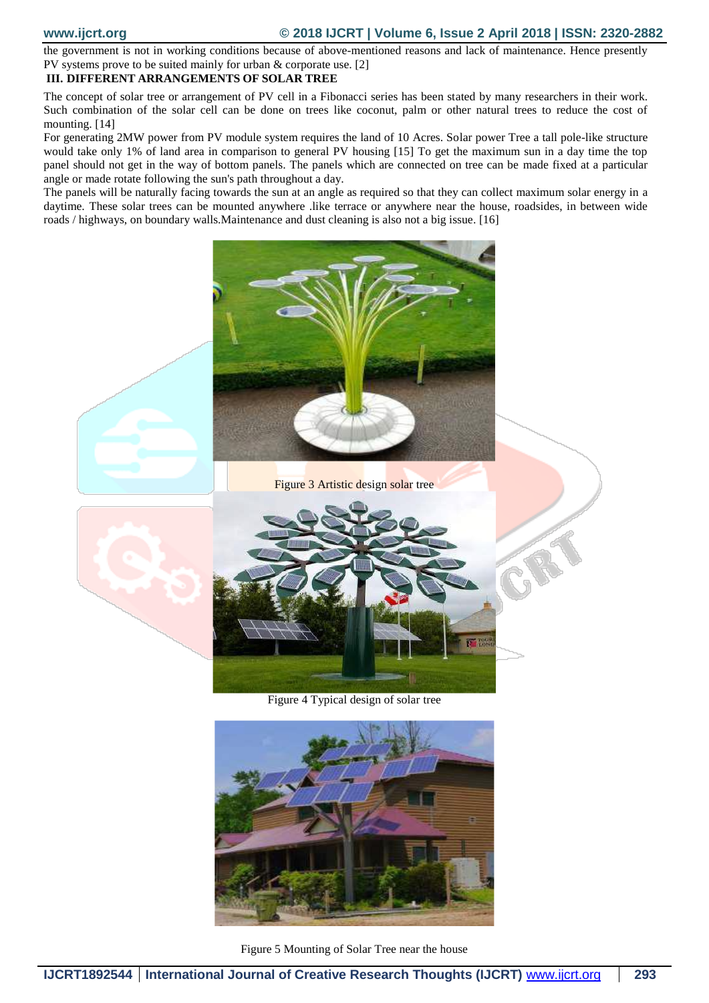the government is not in working conditions because of above-mentioned reasons and lack of maintenance. Hence presently PV systems prove to be suited mainly for urban & corporate use. [2]

## **III. DIFFERENT ARRANGEMENTS OF SOLAR TREE**

The concept of solar tree or arrangement of PV cell in a Fibonacci series has been stated by many researchers in their work. Such combination of the solar cell can be done on trees like coconut, palm or other natural trees to reduce the cost of mounting. [14]

For generating 2MW power from PV module system requires the land of 10 Acres. Solar power Tree a tall pole-like structure would take only 1% of land area in comparison to general PV housing [15] To get the maximum sun in a day time the top panel should not get in the way of bottom panels. The panels which are connected on tree can be made fixed at a particular angle or made rotate following the sun's path throughout a day.

The panels will be naturally facing towards the sun at an angle as required so that they can collect maximum solar energy in a daytime. These solar trees can be mounted anywhere .like terrace or anywhere near the house, roadsides, in between wide roads / highways, on boundary walls.Maintenance and dust cleaning is also not a big issue. [16]



Figure 3 Artistic design solar tree



Figure 4 Typical design of solar tree



Figure 5 Mounting of Solar Tree near the house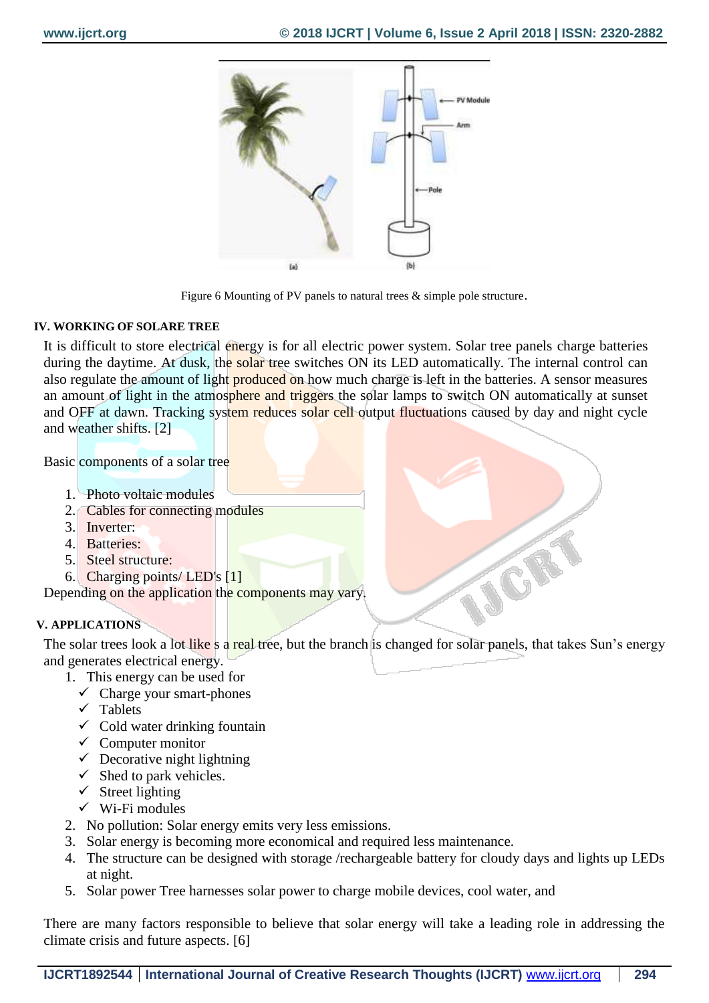JCR



Figure 6 Mounting of PV panels to natural trees & simple pole structure.

# **IV. WORKING OF SOLARE TREE**

It is difficult to store electrical energy is for all electric power system. Solar tree panels charge batteries during the daytime. At dusk, the solar tree switches ON its LED automatically. The internal control can also regulate the amount of light produced on how much charge is left in the batteries. A sensor measures an amount of light in the atmosphere and triggers the solar lamps to switch ON automatically at sunset and OFF at dawn. Tracking system reduces solar cell output fluctuations caused by day and night cycle and weather shifts. [2]

Basic components of a solar tree

- 1. Photo voltaic modules
- 2. Cables for connecting modules
- 3. Inverter:
- 4. Batteries:
- 5. Steel structure:
- 6. Charging points/ LED's [1]

Depending on the application the components may vary.

# **V. APPLICATIONS**

The solar trees look a lot like s a real tree, but the branch is changed for solar panels, that takes Sun's energy and generates electrical energy.

- 1. This energy can be used for
	- $\checkmark$  Charge your smart-phones
	- $\checkmark$  Tablets
	- $\checkmark$  Cold water drinking fountain
	- $\checkmark$  Computer monitor
	- $\checkmark$  Decorative night lightning
	- $\checkmark$  Shed to park vehicles.
	- $\checkmark$  Street lighting
	- $\checkmark$  Wi-Fi modules
- 2. No pollution: Solar energy emits very less emissions.
- 3. Solar energy is becoming more economical and required less maintenance.
- 4. The structure can be designed with storage /rechargeable battery for cloudy days and lights up LEDs at night.
- 5. Solar power Tree harnesses solar power to charge mobile devices, cool water, and

There are many factors responsible to believe that solar energy will take a leading role in addressing the climate crisis and future aspects. [6]